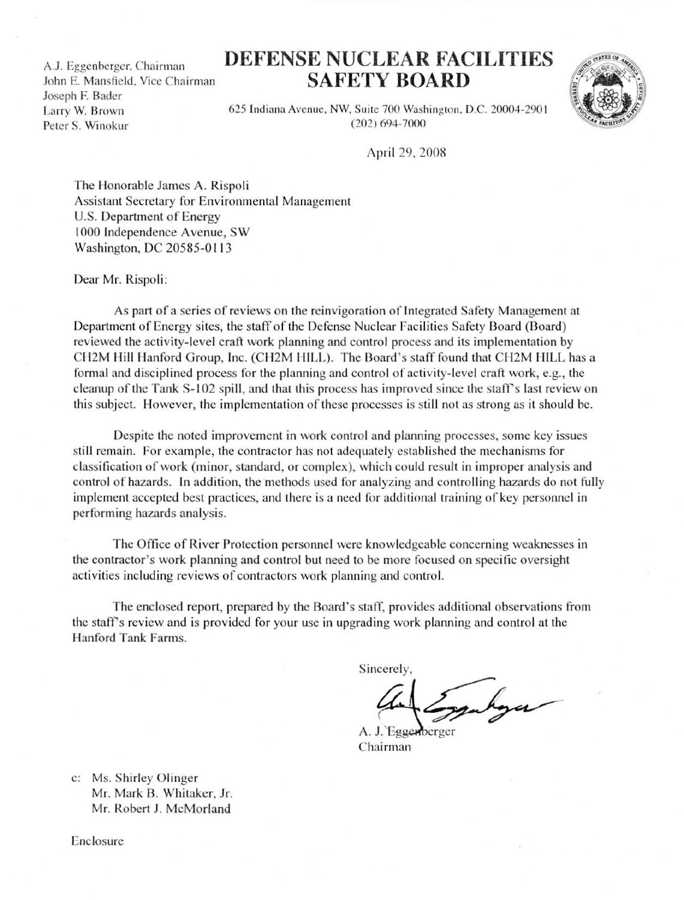A.J. Eggenberger, Chairman John E. Mansfield, Vice Chairman Joseph F. Bader Larry W. Brown Peter S. Winokur A.J. Eggenberger,

## DEFENSE NUCLEAR FACILITIES SAFETY BOARD



625 Indiana Avenue, NW, Suite 700 Washington, D.C. 20004-2901 (202) 694-7000

April 29, 2008

The Honorable James A. Rispoli Assistant Secretary for Environmental Management U.S. Department of Energy 1000 Independence Avenue, SW Washington, DC 20585-01 13

Dear Mr. Rispoli:

As part of a series of reviews on the reinvigoration of Integrated Safety Management at Department of Energy sites, the staff of the Defense Nuclear Facilities Safety Board (Board) reviewed the activity-level craft work planning and control process and its implementation by CH2M Hill Hanford Group, Inc. (CH2M HILL). The Board's staff found that CH2M HILL has a formal and disciplined process for the planning and control of activity-level craft work, e.g., the cleanup of the Tank S-102 spill, and that this process has improved since the staff's last review on this subject. However, the implementation of these processes is still not as strong as it should be.

Despite the noted improvement in work control and planning processes, some key issues still remain. For example, the contractor has not adequately established the mechanisms for classification of work (minor, standard, or complex), which could result in improper analysis and control of hazards. In addition, the methods used for analyzing and controlling hazards do not fully implement accepted best practices, and there is a need for additional training of key personnel in performing hazards analysis .

The Office of River Protection personnel were knowledgeable concerning weaknesses in the contractor's work planning and control but need to be more focused on specific oversight activities including reviews of contractors work planning and control.

The enclosed report, prepared by the Board's staff, provides additional observations from the staff's review and is provided for your use in upgrading work planning and control at the Hanford Tank Farms.

Sincerely,

A. J. Eggenberger Chairman

c: Ms. Shirley Olinger Mr. Mark B. Whitaker, Jr. Mr. Robert J. McMorland

Enclosure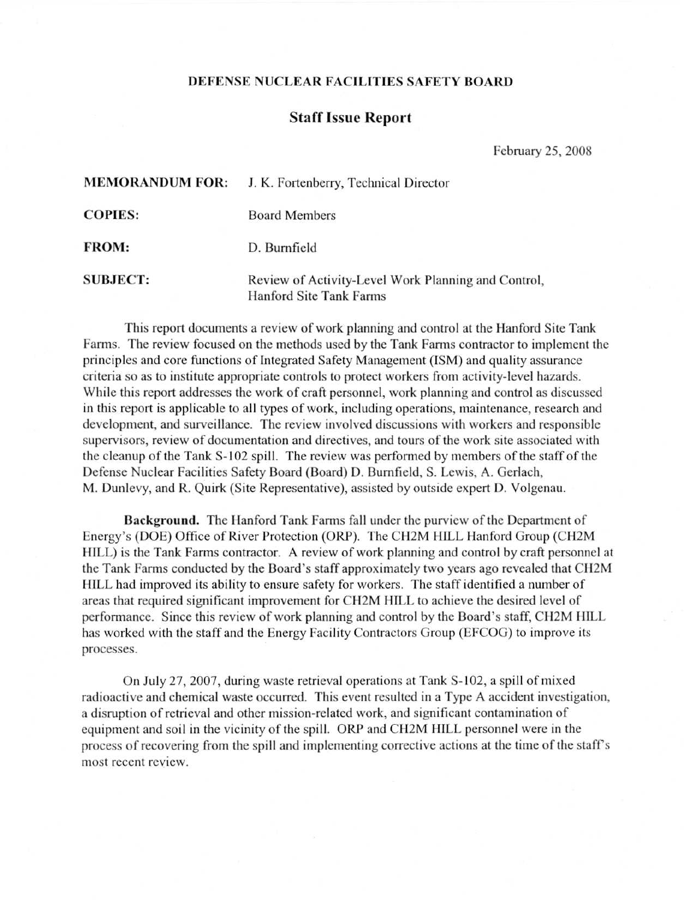## DEFENSE NUCLEAR FACILITIES SAFETY BOARD

## Staff Issue Report

February 25, 2008

| <b>MEMORANDUM FOR:</b> | J. K. Fortenberry, Technical Director                                          |
|------------------------|--------------------------------------------------------------------------------|
| <b>COPIES:</b>         | <b>Board Members</b>                                                           |
| <b>FROM:</b>           | D. Burnfield                                                                   |
| <b>SUBJECT:</b>        | Review of Activity-Level Work Planning and Control,<br>Hanford Site Tank Farms |

This report documents a review of work planning and control at the Hanford Site Tank Farms. The review focused on the methods used by the Tank Farrns contractor to implement the principles and core functions of Integrated Safety Management (ISM) and quality assurance criteria so as to institute appropriate controls to protect workers from activity-level hazards . While this report addresses the work of craft personnel, work planning and control as discussed in this report is applicable to all types of work, including operations, maintenance, research and development, and surveillance. The review involved discussions with workers and responsible supervisors, review of documentation and directives, and tours of the work site associated with the cleanup of the Tank S-102 spill. The review was performed by members of the staff of the Defense Nuclear Facilities Safety Board (Board) D. Burnfield, S. Lewis, A. Gerlach, M. Dunlevy, and R. Quirk (Site Representative), assisted by outside expert D. Volgenau.

Background. The Hanford Tank Farms fall under the purview of the Department of Energy's (DOE) Office of River Protection (ORP) . The CH2M HILL Hanford Group (CH2M HILL) is the Tank Farms contractor. A review of work planning and control by craft personnel at the Tank Farms conducted by the Board's staff approximately two years ago revealed that CH2M HILL had improved its ability to ensure safety for workers. The staff identified a number of areas that required significant improvement for CH2M HILL to achieve the desired level of performance . Since this review of work planning and control by the Board's staff, CH2M HILL has worked with the staff and the Energy Facility Contractors Group (EFCOG) to improve its processes .

On July 27, 2007, during waste retrieval operations at Tank S-102, a spill of mixed radioactive and chemical waste occurred. This event resulted in a Type A accident investigation, a disruption of retrieval and other mission-related work, and significant contamination of equipment and soil in the vicinity of the spill. ORP and CH2M HILL personnel were in the process of recovering from the spill and implementing corrective actions at the time of the staff's most recent review.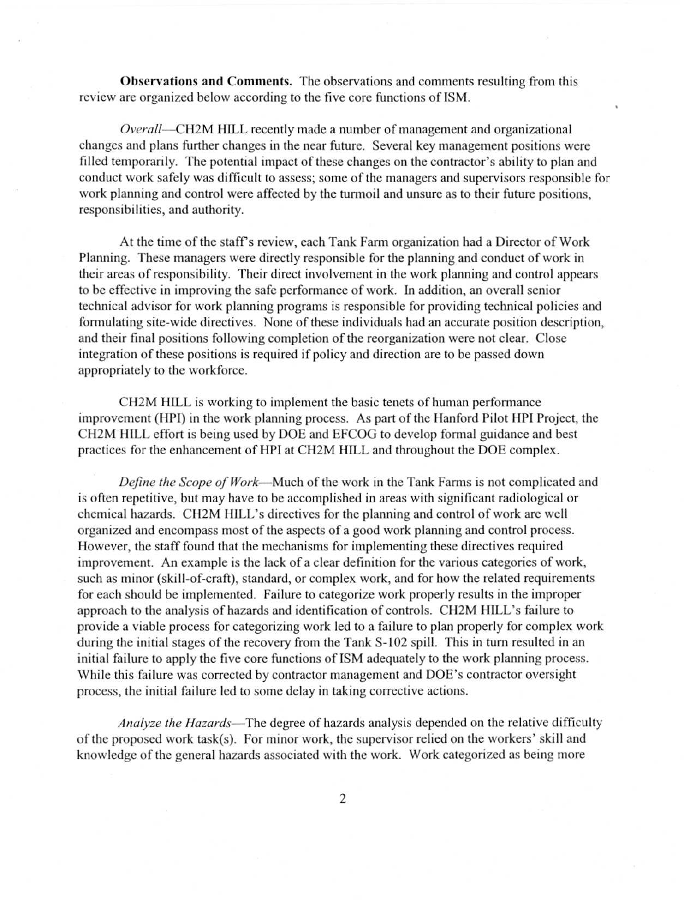Observations and Comments . The observations and comments resulting from this review are organized below according to the five core functions of ISM .

Overall—CH2M HILL recently made a number of management and organizational changes and plans further changes in the near future. Several key management positions were filled temporarily. The potential impact of these changes on the contractor's ability to plan and conduct work safely was difficult to assess; some of the managers and supervisors responsible for work planning and control were affected by the turmoil and unsure as to their future positions, responsibilities, and authority.

At the time of the staff's review, each Tank Farm organization had a Director of Work Planning. These managers were directly responsible for the planning and conduct of work in their areas of responsibility. Their direct involvement in the work planning and control appears to be effective in improving the safe performance of work . In addition, an overall senior technical advisor for work planning programs is responsible for providing technical policies and formulating site-wide directives. None of these individuals had an accurate position description, and their final positions following completion of the reorganization were not clear . Close integration of these positions is required if policy and direction are to be passed down appropriately to the workforce.

CH2M HILL is working to implement the basic tenets of human performance improvement (HPI) in the work planning process. As part of the Hanford Pilot HPI Project, the CH2M HILL effort is being used by DOE and EFCOG to develop formal guidance and best practices for the enhancement of HPI at CH2M HILL and throughout the DOE complex .

Define the Scope of Work-Much of the work in the Tank Farms is not complicated and is often repetitive, but may have to be accomplished in areas with significant radiological or chemical hazards . CH2M HILL's directives for the planning and control of work are well organized and encompass most of the aspects of a good work planning and control process . However, the staff found that the mechanisms for implementing these directives required improvement. An example is the lack of a clear definition for the various categories of work, such as minor (skill-of-craft), standard, or complex work, and for how the related requirements for each should be implemented. Failure to categorize work properly results in the improper approach to the analysis of hazards and identification of controls . CH2M HILL's failure to provide a viable process for categorizing work led to a failure to plan properly for complex work during the initial stages of the recovery from the Tank S-102 spill. This in turn resulted in an initial failure to apply the five core functions of ISM adequately to the work planning process . While this failure was corrected by contractor management and DOE's contractor oversight process, the initial failure led to some delay in taking corrective actions .

Analyze the Hazards—The degree of hazards analysis depended on the relative difficulty of the proposed work task(s). For minor work, the supervisor relied on the workers' skill and knowledge of the general hazards associated with the work . Work categorized as being more